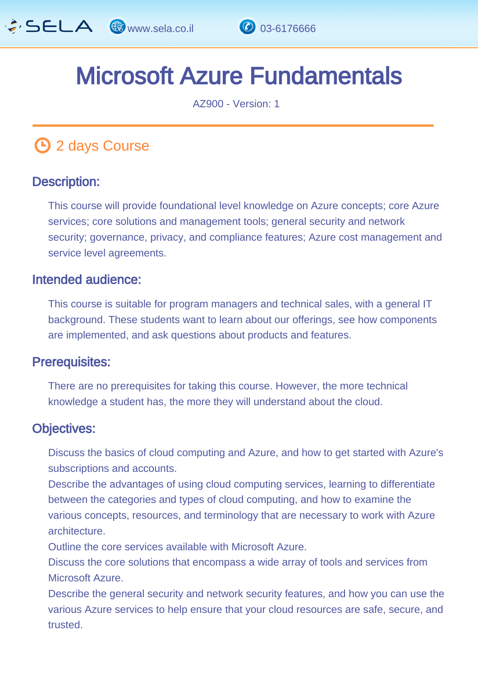

# Microsoft Azure Fundamentals

AZ900 - Version: 1

# **1** 2 days Course

#### Description: Ĩ

This course will provide foundational level knowledge on Azure concepts; core Azure services; core solutions and management tools; general security and network security; governance, privacy, and compliance features; Azure cost management and service level agreements.

#### Intended audience: Ï

This course is suitable for program managers and technical sales, with a general IT background. These students want to learn about our offerings, see how components are implemented, and ask questions about products and features.

#### Prerequisites: L,

There are no prerequisites for taking this course. However, the more technical knowledge a student has, the more they will understand about the cloud.

#### Objectives: Ĭ

Discuss the basics of cloud computing and Azure, and how to get started with Azure's subscriptions and accounts.

Describe the advantages of using cloud computing services, learning to differentiate between the categories and types of cloud computing, and how to examine the various concepts, resources, and terminology that are necessary to work with Azure **architecture** 

Outline the core services available with Microsoft Azure.

Discuss the core solutions that encompass a wide array of tools and services from Microsoft Azure.

Describe the general security and network security features, and how you can use the various Azure services to help ensure that your cloud resources are safe, secure, and trusted.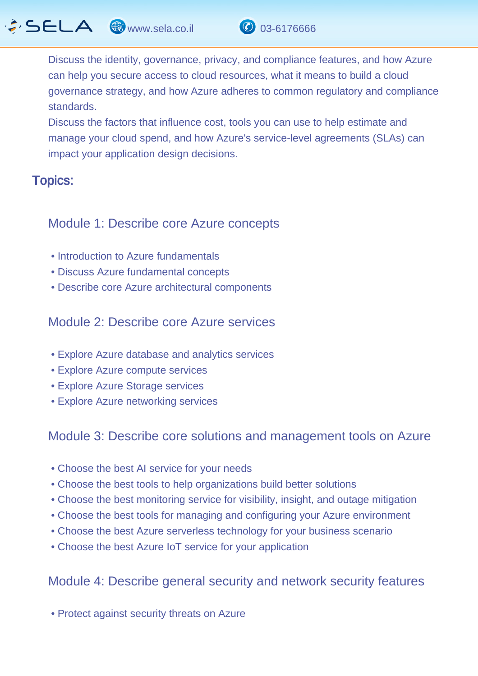

Discuss the factors that influence cost, tools you can use to help estimate and manage your cloud spend, and how Azure's service-level agreements (SLAs) can impact your application design decisions.

#### Topics: J.

### Module 1: Describe core Azure concepts

- Introduction to Azure fundamentals
- Discuss Azure fundamental concepts
- Describe core Azure architectural components

Module 2: Describe core Azure services

- Explore Azure database and analytics services
- Explore Azure compute services
- Explore Azure Storage services
- Explore Azure networking services

## Module 3: Describe core solutions and management tools on Azure

- Choose the best AI service for your needs
- Choose the best tools to help organizations build better solutions
- Choose the best monitoring service for visibility, insight, and outage mitigation
- Choose the best tools for managing and configuring your Azure environment
- Choose the best Azure serverless technology for your business scenario
- Choose the best Azure IoT service for your application

# Module 4: Describe general security and network security features

• Protect against security threats on Azure